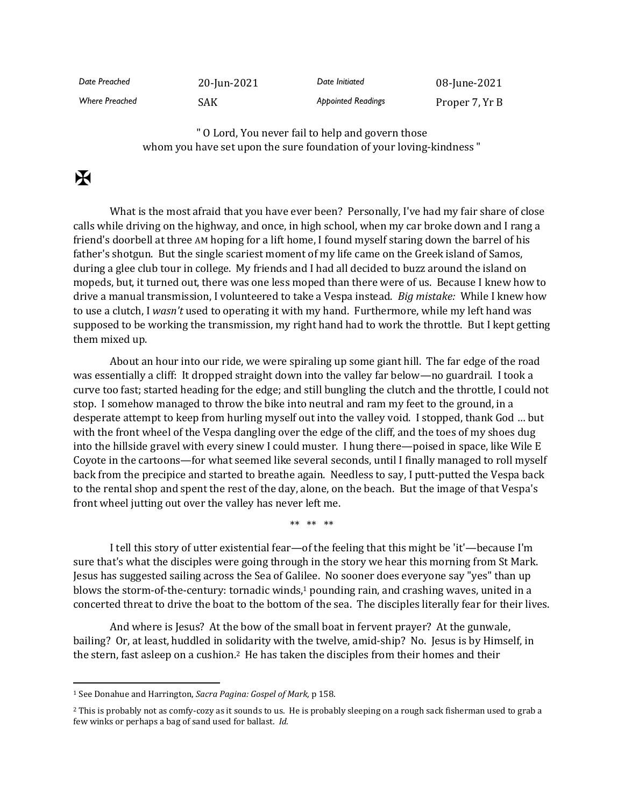| Date Preached         | 20-Jun-2021 | Date Initiated            | 08-June-2021   |
|-----------------------|-------------|---------------------------|----------------|
| <b>Where Preached</b> | SAK         | <b>Appointed Readings</b> | Proper 7, Yr B |

" O Lord, You never fail to help and govern those whom you have set upon the sure foundation of your loving-kindness "

## $\mathbf F$

What is the most afraid that you have ever been? Personally, I've had my fair share of close calls while driving on the highway, and once, in high school, when my car broke down and I rang a friend's doorbell at three AM hoping for a lift home, I found myself staring down the barrel of his father's shotgun. But the single scariest moment of my life came on the Greek island of Samos, during a glee club tour in college. My friends and I had all decided to buzz around the island on mopeds, but, it turned out, there was one less moped than there were of us. Because I knew how to drive a manual transmission, I volunteered to take a Vespa instead. *Big mistake:* While I knew how to use a clutch, I *wasn't* used to operating it with my hand. Furthermore, while my left hand was supposed to be working the transmission, my right hand had to work the throttle. But I kept getting them mixed up.

About an hour into our ride, we were spiraling up some giant hill. The far edge of the road was essentially a cliff: It dropped straight down into the valley far below—no guardrail. I took a curve too fast; started heading for the edge; and still bungling the clutch and the throttle, I could not stop. I somehow managed to throw the bike into neutral and ram my feet to the ground, in a desperate attempt to keep from hurling myself out into the valley void. I stopped, thank God … but with the front wheel of the Vespa dangling over the edge of the cliff, and the toes of my shoes dug into the hillside gravel with every sinew I could muster. I hung there—poised in space, like Wile E Coyote in the cartoons—for what seemed like several seconds, until I finally managed to roll myself back from the precipice and started to breathe again. Needless to say, I putt-putted the Vespa back to the rental shop and spent the rest of the day, alone, on the beach. But the image of that Vespa's front wheel jutting out over the valley has never left me.

\*\* \*\* \*\*

I tell this story of utter existential fear—of the feeling that this might be 'it'—because I'm sure that's what the disciples were going through in the story we hear this morning from St Mark. Jesus has suggested sailing across the Sea of Galilee. No sooner does everyone say "yes" than up blows the storm-of-the-century: tornadic winds, $1$  pounding rain, and crashing waves, united in a concerted threat to drive the boat to the bottom of the sea. The disciples literally fear for their lives.

And where is Jesus? At the bow of the small boat in fervent prayer? At the gunwale, bailing? Or, at least, huddled in solidarity with the twelve, amid-ship? No. Jesus is by Himself, in the stern, fast asleep on a cushion.<sup>2</sup> He has taken the disciples from their homes and their

<sup>1</sup> See Donahue and Harrington, *Sacra Pagina: Gospel of Mark,* p 158.

<sup>2</sup> This is probably not as comfy-cozy as it sounds to us. He is probably sleeping on a rough sack fisherman used to grab a few winks or perhaps a bag of sand used for ballast. *Id.*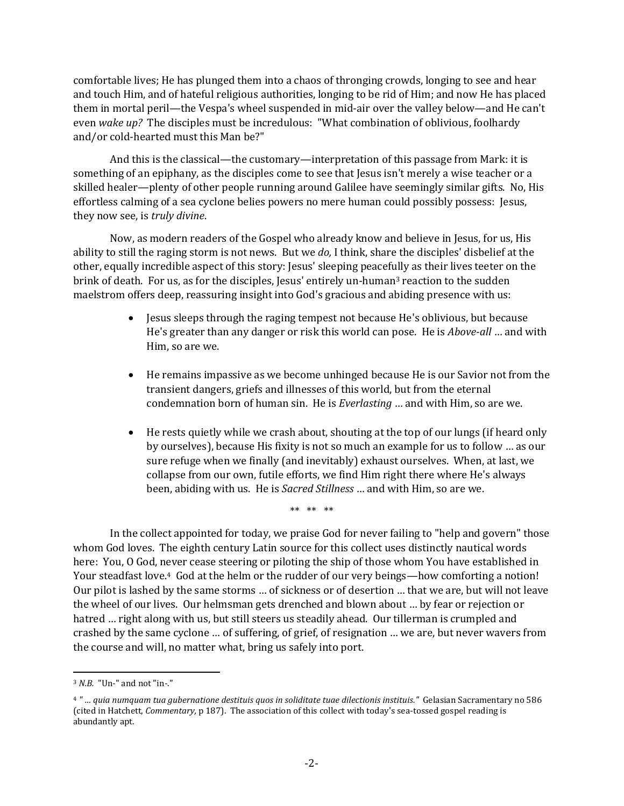comfortable lives; He has plunged them into a chaos of thronging crowds, longing to see and hear and touch Him, and of hateful religious authorities, longing to be rid of Him; and now He has placed them in mortal peril—the Vespa's wheel suspended in mid-air over the valley below—and He can't even *wake up?* The disciples must be incredulous: "What combination of oblivious, foolhardy and/or cold-hearted must this Man be?"

And this is the classical—the customary—interpretation of this passage from Mark: it is something of an epiphany, as the disciples come to see that Jesus isn't merely a wise teacher or a skilled healer—plenty of other people running around Galilee have seemingly similar gifts. No, His effortless calming of a sea cyclone belies powers no mere human could possibly possess: Jesus, they now see, is *truly divine*.

Now, as modern readers of the Gospel who already know and believe in Jesus, for us, His ability to still the raging storm is not news. But we *do,* I think, share the disciples' disbelief at the other, equally incredible aspect of this story: Jesus' sleeping peacefully as their lives teeter on the brink of death. For us, as for the disciples, Jesus' entirely un-human<sup>3</sup> reaction to the sudden maelstrom offers deep, reassuring insight into God's gracious and abiding presence with us:

- Jesus sleeps through the raging tempest not because He's oblivious, but because He's greater than any danger or risk this world can pose. He is *Above-all* … and with Him, so are we.
- He remains impassive as we become unhinged because He is our Savior not from the transient dangers, griefs and illnesses of this world, but from the eternal condemnation born of human sin. He is *Everlasting* … and with Him, so are we.
- He rests quietly while we crash about, shouting at the top of our lungs (if heard only by ourselves), because His fixity is not so much an example for us to follow … as our sure refuge when we finally (and inevitably) exhaust ourselves. When, at last, we collapse from our own, futile efforts, we find Him right there where He's always been, abiding with us. He is *Sacred Stillness* … and with Him, so are we.

\*\* \*\* \*\*

In the collect appointed for today, we praise God for never failing to "help and govern" those whom God loves. The eighth century Latin source for this collect uses distinctly nautical words here: You, O God, never cease steering or piloting the ship of those whom You have established in Your steadfast love.4 God at the helm or the rudder of our very beings—how comforting a notion! Our pilot is lashed by the same storms … of sickness or of desertion … that we are, but will not leave the wheel of our lives. Our helmsman gets drenched and blown about … by fear or rejection or hatred ... right along with us, but still steers us steadily ahead. Our tillerman is crumpled and crashed by the same cyclone … of suffering, of grief, of resignation … we are, but never wavers from the course and will, no matter what, bring us safely into port.

<sup>3</sup> *N.B.* "Un-" and not "in-."

<sup>4</sup> *" … quia numquam tua gubernatione destituis quos in soliditate tuae dilectionis instituis."* Gelasian Sacramentary no 586 (cited in Hatchett, *Commentary,* p 187). The association of this collect with today's sea-tossed gospel reading is abundantly apt.